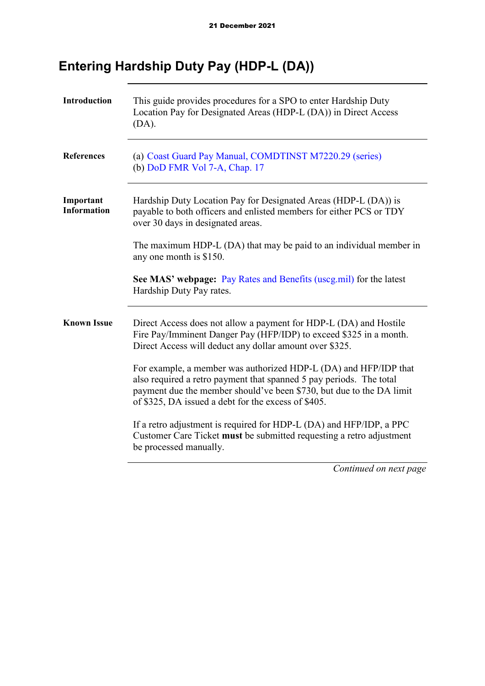# **Entering Hardship Duty Pay (HDP-L (DA))**

| <b>Introduction</b>             | This guide provides procedures for a SPO to enter Hardship Duty<br>Location Pay for Designated Areas (HDP-L (DA)) in Direct Access<br>(DA).                                                                                                                            |
|---------------------------------|------------------------------------------------------------------------------------------------------------------------------------------------------------------------------------------------------------------------------------------------------------------------|
| <b>References</b>               | (a) Coast Guard Pay Manual, COMDTINST M7220.29 (series)<br>(b) DoD FMR Vol 7-A, Chap. 17                                                                                                                                                                               |
| Important<br><b>Information</b> | Hardship Duty Location Pay for Designated Areas (HDP-L (DA)) is<br>payable to both officers and enlisted members for either PCS or TDY<br>over 30 days in designated areas.                                                                                            |
|                                 | The maximum HDP-L (DA) that may be paid to an individual member in<br>any one month is \$150.                                                                                                                                                                          |
|                                 | See MAS' webpage: Pay Rates and Benefits (uscg.mil) for the latest<br>Hardship Duty Pay rates.                                                                                                                                                                         |
| <b>Known Issue</b>              | Direct Access does not allow a payment for HDP-L (DA) and Hostile<br>Fire Pay/Imminent Danger Pay (HFP/IDP) to exceed \$325 in a month.<br>Direct Access will deduct any dollar amount over \$325.                                                                     |
|                                 | For example, a member was authorized HDP-L (DA) and HFP/IDP that<br>also required a retro payment that spanned 5 pay periods. The total<br>payment due the member should've been \$730, but due to the DA limit<br>of \$325, DA issued a debt for the excess of \$405. |
|                                 | If a retro adjustment is required for HDP-L (DA) and HFP/IDP, a PPC<br>Customer Care Ticket must be submitted requesting a retro adjustment<br>be processed manually.                                                                                                  |
|                                 | Continued on next page                                                                                                                                                                                                                                                 |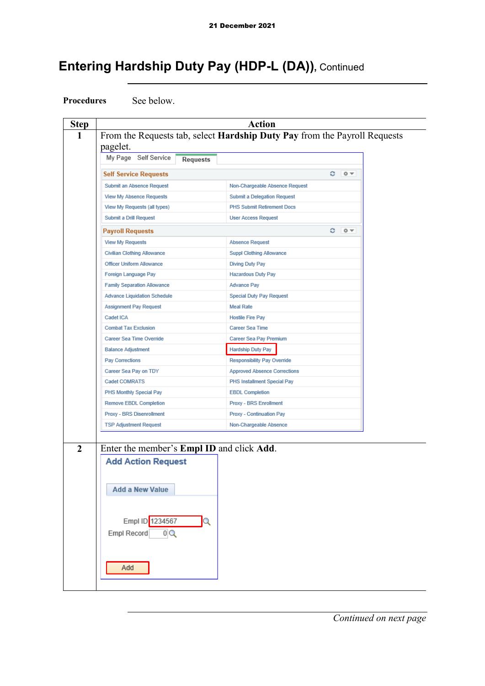**Procedures** See below.

**Step Action 1** From the Requests tab, select **Hardship Duty Pay** from the Payroll Requests pagelet. My Page Self Service **Requests Self Service Requests**  $0 - 0 =$ **Submit an Absence Request** Non-Chargeable Absence Request View My Absence Requests **Submit a Delegation Request** View My Requests (all types) PHS Submit Retirement Docs Submit a Drill Request **User Access Request Payroll Requests**  $C = 0 -$ **View My Requests Absence Request Civilian Clothing Allowance** Suppl Clothing Allowance Officer Uniform Allowance Diving Duty Pay Foreign Language Pay **Hazardous Duty Pay Advance Pay Family Separation Allowance Advance Liquidation Schedule Special Duty Pay Request Assignment Pay Request Meal Rate** Cadet ICA **Hostile Fire Pay Combat Tax Exclusion** Career Sea Time Career Sea Time Override Career Sea Pay Premium **Balance Adjustment** Hardship Duty Pay Pay Corrections Responsibility Pay Override Career Sea Pay on TDY **Approved Absence Corrections** Cadet COMRATS PHS Installment Special Pay PHS Monthly Special Pay **EBDL Completion Remove EBDL Completion** Proxy - BRS Enrollment Proxy - BRS Disenrollment Proxy - Continuation Pay **TSP Adjustment Request** Non-Chargeable Absence **2** Enter the member's **Empl ID** and click **Add**. **Add Action Request Add a New Value** Empl ID 1234567  $\alpha$ Empl Record  $0Q$ Add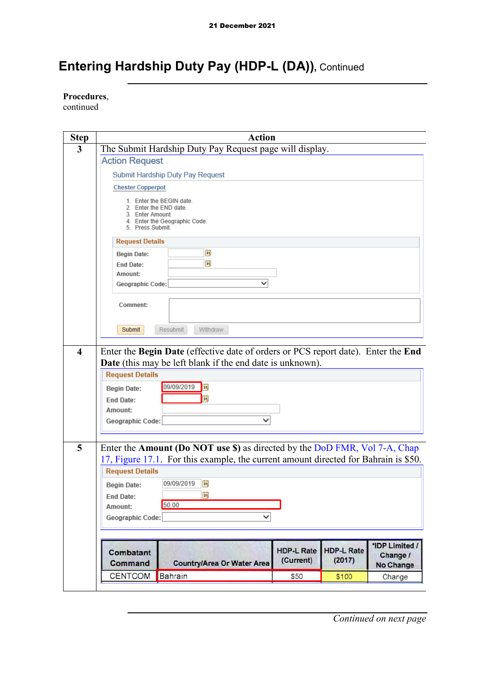**Procedures**,

continued

| <b>Step</b>             |                             | <b>Action</b>                                                                                                                                                     |                   |                   |                       |
|-------------------------|-----------------------------|-------------------------------------------------------------------------------------------------------------------------------------------------------------------|-------------------|-------------------|-----------------------|
| 3                       |                             | The Submit Hardship Duty Pay Request page will display.                                                                                                           |                   |                   |                       |
|                         | <b>Action Request</b>       |                                                                                                                                                                   |                   |                   |                       |
|                         |                             | Submit Hardship Duty Pay Request                                                                                                                                  |                   |                   |                       |
|                         | <b>Chester Copperpot</b>    |                                                                                                                                                                   |                   |                   |                       |
|                         |                             | 1. Enter the BEGIN date.<br>2. Enter the END date.                                                                                                                |                   |                   |                       |
|                         | 3. Enter Amount.            |                                                                                                                                                                   |                   |                   |                       |
|                         | 5. Press Submit.            | 4. Enter the Geographic Code.                                                                                                                                     |                   |                   |                       |
|                         | <b>Request Details</b>      |                                                                                                                                                                   |                   |                   |                       |
|                         | <b>Begin Date:</b>          | Þij                                                                                                                                                               |                   |                   |                       |
|                         | <b>End Date:</b><br>Amount: | Fij                                                                                                                                                               |                   |                   |                       |
|                         | Geographic Code:            | $\check{ }$                                                                                                                                                       |                   |                   |                       |
|                         |                             |                                                                                                                                                                   |                   |                   |                       |
|                         | Comment:                    |                                                                                                                                                                   |                   |                   |                       |
|                         |                             |                                                                                                                                                                   |                   |                   |                       |
|                         | Submit                      | <b>Resubmit</b><br>Withdraw                                                                                                                                       |                   |                   |                       |
| $\overline{\mathbf{4}}$ |                             | Enter the Begin Date (effective date of orders or PCS report date). Enter the End                                                                                 |                   |                   |                       |
|                         |                             | Date (this may be left blank if the end date is unknown).                                                                                                         |                   |                   |                       |
|                         | <b>Request Details</b>      |                                                                                                                                                                   |                   |                   |                       |
|                         | <b>Begin Date:</b>          | 09/09/2019<br>EU                                                                                                                                                  |                   |                   |                       |
|                         | <b>End Date:</b>            | Ħ                                                                                                                                                                 |                   |                   |                       |
|                         | Amount:                     | ◡                                                                                                                                                                 |                   |                   |                       |
|                         | Geographic Code:            |                                                                                                                                                                   |                   |                   |                       |
|                         |                             |                                                                                                                                                                   |                   |                   |                       |
| 5                       |                             | Enter the Amount (Do NOT use \$) as directed by the DoD FMR, Vol 7-A, Chap<br>17, Figure 17.1. For this example, the current amount directed for Bahrain is \$50. |                   |                   |                       |
|                         | <b>Request Details</b>      |                                                                                                                                                                   |                   |                   |                       |
|                         | <b>Begin Date:</b>          | 09/09/2019<br>B1,                                                                                                                                                 |                   |                   |                       |
|                         | End Date:                   | ij                                                                                                                                                                |                   |                   |                       |
|                         | Amount:                     | 50.00                                                                                                                                                             |                   |                   |                       |
|                         | Geographic Code:            | ◡                                                                                                                                                                 |                   |                   |                       |
|                         |                             |                                                                                                                                                                   |                   |                   |                       |
|                         | <b>Combatant</b>            |                                                                                                                                                                   | <b>HDP-L Rate</b> | <b>HDP-L Rate</b> | *IDP Limited /        |
|                         | Command                     | <b>Country/Area Or Water Area</b>                                                                                                                                 | (Current)         | (2017)            | Change /<br>No Change |
|                         | <b>CENTCOM</b>              | Bahrain                                                                                                                                                           | \$50              | \$100             | Change                |
|                         |                             |                                                                                                                                                                   |                   |                   |                       |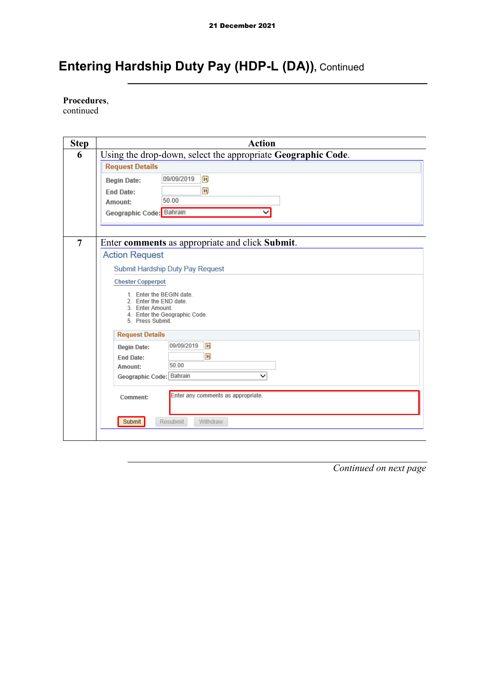**Procedures**,

continued

| <b>Step</b>    | <b>Action</b>                                                |
|----------------|--------------------------------------------------------------|
| 6              | Using the drop-down, select the appropriate Geographic Code. |
|                | <b>Request Details</b>                                       |
|                | Fij<br>09/09/2019<br><b>Begin Date:</b>                      |
|                | Ħ<br><b>End Date:</b>                                        |
|                | 50.00<br>Amount:                                             |
|                | Geographic Code: Bahrain<br>$\check{ }$                      |
|                |                                                              |
|                |                                                              |
| $\overline{7}$ | Enter comments as appropriate and click Submit.              |
|                | <b>Action Request</b>                                        |
|                | Submit Hardship Duty Pay Request                             |
|                | <b>Chester Copperpot</b>                                     |
|                | 1. Enter the BEGIN date.                                     |
|                | 2. Enter the END date.<br>3. Enter Amount.                   |
|                | 4. Enter the Geographic Code.<br>5. Press Submit.            |
|                |                                                              |
|                | <b>Request Details</b>                                       |
|                | D)<br>09/09/2019<br><b>Begin Date:</b>                       |
|                | ÞŪ<br><b>End Date:</b><br>50.00<br>Amount:                   |
|                | Geographic Code: Bahrain<br>◡                                |
|                |                                                              |
|                | Enter any comments as appropriate.<br>Comment:               |
|                |                                                              |
|                | Submit<br>Resubmit<br>Withdraw                               |
|                |                                                              |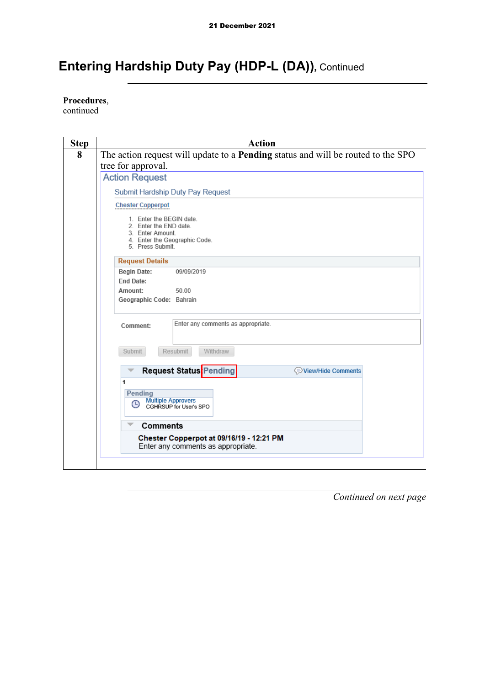**Procedures**,

continued

| <b>Step</b> | <b>Action</b>                                                                                                               |
|-------------|-----------------------------------------------------------------------------------------------------------------------------|
| 8           | The action request will update to a <b>Pending</b> status and will be routed to the SPO                                     |
|             | tree for approval.                                                                                                          |
|             | <b>Action Request</b>                                                                                                       |
|             | Submit Hardship Duty Pay Request                                                                                            |
|             | <b>Chester Copperpot</b>                                                                                                    |
|             | 1. Enter the BEGIN date.<br>2. Enter the END date.<br>3. Enter Amount.<br>4. Enter the Geographic Code.<br>5. Press Submit. |
|             | <b>Request Details</b>                                                                                                      |
|             | <b>Begin Date:</b><br>09/09/2019<br><b>End Date:</b>                                                                        |
|             | Amount:<br>50.00                                                                                                            |
|             | Geographic Code: Bahrain                                                                                                    |
|             | Enter any comments as appropriate.<br>Comment:                                                                              |
|             | <b>Submit</b><br>Resubmit<br><b>Withdraw</b>                                                                                |
|             | Request Status <sup>Pending</sup><br>View/Hide Comments                                                                     |
|             | 1                                                                                                                           |
|             | Pending<br><b>Multiple Approvers</b>                                                                                        |
|             | ∩<br>CGHRSUP for User's SPO                                                                                                 |
|             | Comments                                                                                                                    |
|             | Chester Copperpot at 09/16/19 - 12:21 PM<br>Enter any comments as appropriate.                                              |
|             |                                                                                                                             |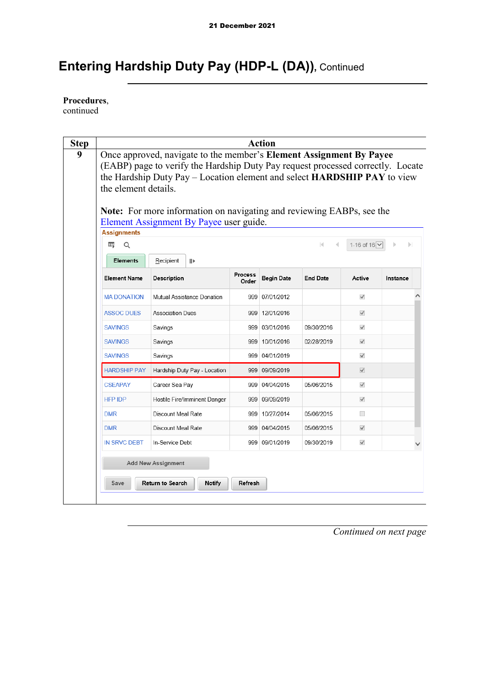**Procedures**,

continued

|                     | Once approved, navigate to the member's Element Assignment By Payee<br>(EABP) page to verify the Hardship Duty Pay request processed correctly. Locate<br>the Hardship Duty Pay - Location element and select HARDSHIP PAY to view<br>the element details. |            |                                                                                                                                                                                                        |                   |                                                                                                                                                                                                                                               |              |          |                                                                                                   |  |
|---------------------|------------------------------------------------------------------------------------------------------------------------------------------------------------------------------------------------------------------------------------------------------------|------------|--------------------------------------------------------------------------------------------------------------------------------------------------------------------------------------------------------|-------------------|-----------------------------------------------------------------------------------------------------------------------------------------------------------------------------------------------------------------------------------------------|--------------|----------|---------------------------------------------------------------------------------------------------|--|
|                     |                                                                                                                                                                                                                                                            |            |                                                                                                                                                                                                        |                   |                                                                                                                                                                                                                                               |              |          |                                                                                                   |  |
| <b>Assignments</b>  |                                                                                                                                                                                                                                                            |            |                                                                                                                                                                                                        |                   |                                                                                                                                                                                                                                               |              |          |                                                                                                   |  |
| 田<br>Q              |                                                                                                                                                                                                                                                            |            |                                                                                                                                                                                                        |                   | М                                                                                                                                                                                                                                             |              |          |                                                                                                   |  |
| <b>Elements</b>     | Recipient                                                                                                                                                                                                                                                  | <b>III</b> |                                                                                                                                                                                                        |                   |                                                                                                                                                                                                                                               |              |          |                                                                                                   |  |
| <b>Element Name</b> | Description                                                                                                                                                                                                                                                |            | Process<br>Order                                                                                                                                                                                       | <b>Begin Date</b> | <b>End Date</b>                                                                                                                                                                                                                               | Active       | Instance |                                                                                                   |  |
| <b>MA DONATION</b>  |                                                                                                                                                                                                                                                            |            |                                                                                                                                                                                                        |                   |                                                                                                                                                                                                                                               | $\checkmark$ |          |                                                                                                   |  |
| <b>ASSOC DUES</b>   |                                                                                                                                                                                                                                                            |            |                                                                                                                                                                                                        |                   |                                                                                                                                                                                                                                               | $\checkmark$ |          |                                                                                                   |  |
| <b>SAVINGS</b>      | Savings                                                                                                                                                                                                                                                    |            |                                                                                                                                                                                                        |                   | 09/30/2016                                                                                                                                                                                                                                    | $\checkmark$ |          |                                                                                                   |  |
| <b>SAVINGS</b>      | Savings                                                                                                                                                                                                                                                    |            |                                                                                                                                                                                                        |                   | 02/28/2019                                                                                                                                                                                                                                    | $\checkmark$ |          |                                                                                                   |  |
| <b>SAVINGS</b>      | Savings                                                                                                                                                                                                                                                    |            |                                                                                                                                                                                                        |                   |                                                                                                                                                                                                                                               | $\checkmark$ |          |                                                                                                   |  |
| <b>HARDSHIP PAY</b> |                                                                                                                                                                                                                                                            |            |                                                                                                                                                                                                        |                   |                                                                                                                                                                                                                                               | $\checkmark$ |          |                                                                                                   |  |
| <b>CSEAPAY</b>      |                                                                                                                                                                                                                                                            |            |                                                                                                                                                                                                        |                   | 05/06/2015                                                                                                                                                                                                                                    | $\checkmark$ |          |                                                                                                   |  |
| <b>HFP IDP</b>      |                                                                                                                                                                                                                                                            |            |                                                                                                                                                                                                        |                   |                                                                                                                                                                                                                                               | $\checkmark$ |          |                                                                                                   |  |
| <b>DMR</b>          |                                                                                                                                                                                                                                                            |            |                                                                                                                                                                                                        |                   | 05/06/2015                                                                                                                                                                                                                                    | $\Box$       |          |                                                                                                   |  |
| <b>DMR</b>          |                                                                                                                                                                                                                                                            |            |                                                                                                                                                                                                        |                   | 05/06/2015                                                                                                                                                                                                                                    | $\checkmark$ |          |                                                                                                   |  |
| <b>IN SRVC DEBT</b> |                                                                                                                                                                                                                                                            |            |                                                                                                                                                                                                        |                   | 09/30/2019                                                                                                                                                                                                                                    | $\checkmark$ |          |                                                                                                   |  |
|                     |                                                                                                                                                                                                                                                            |            | Mutual Assistance Donation<br><b>Association Dues</b><br>Hardship Duty Pay - Location<br>Career Sea Pay<br>Hostile Fire/Imminent Danger<br>Discount Meal Rate<br>Discount Meal Rate<br>In-Service Debt |                   | Element Assignment By Payee user guide.<br>999 07/01/2012<br>999 12/01/2016<br>999 03/01/2016<br>999 10/01/2016<br>999 04/01/2019<br>999 09/09/2019<br>999 04/04/2015<br>999 09/09/2019<br>999 10/27/2014<br>999 04/04/2015<br>999 09/01/2019 |              |          | <b>Note:</b> For more information on navigating and reviewing EABPs, see the<br>1-16 of 16 V<br>ы |  |